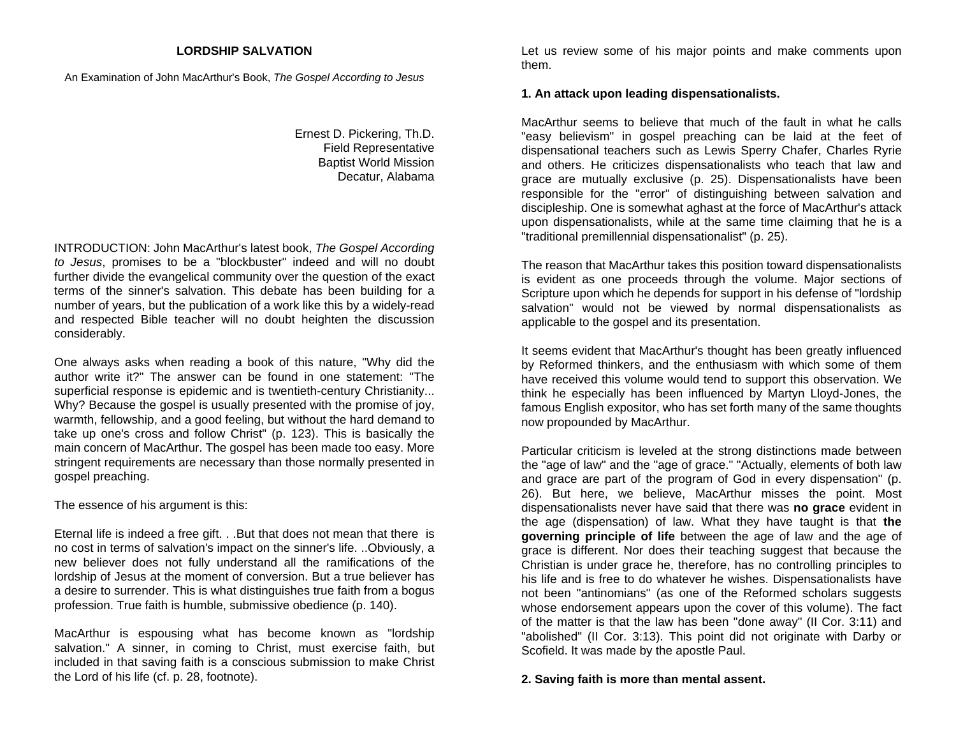## **LORDSHIP SALVATION**

An Examination of John MacArthur's Book, *The Gospel According to Jesus*

Ernest D. Pickering, Th.D. Field Representative Baptist World Mission Decatur, Alabama

INTRODUCTION: John MacArthur's latest book, *The Gospel According to Jesus*, promises to be a "blockbuster" indeed and will no doubt further divide the evangelical community over the question of the exact terms of the sinner's salvation. This debate has been building for a number of years, but the publication of a work like this by a widely-read and respected Bible teacher will no doubt heighten the discussion considerably.

One always asks when reading a book of this nature, "Why did the author write it?" The answer can be found in one statement: "Thesuperficial response is epidemic and is twentieth-century Christianity... Why? Because the gospel is usually presented with the promise of joy, warmth, fellowship, and a good feeling, but without the hard demand to take up one's cross and follow Christ" (p. 123). This is basically the main concern of MacArthur. The gospel has been made too easy. More stringent requirements are necessary than those normally presented in gospel preaching.

The essence of his argument is this:

Eternal life is indeed a free gift. . .But that does not mean that there is no cost in terms of salvation's impact on the sinner's life. ..Obviously, a new believer does not fully understand all the ramifications of the lordship of Jesus at the moment of conversion. But a true believer has a desire to surrender. This is what distinguishes true faith from a bogus profession. True faith is humble, submissive obedience (p. 140).

MacArthur is espousing what has become known as "lordship salvation." A sinner, in coming to Christ, must exercise faith, but included in that saving faith is a conscious submission to make Christ the Lord of his life (cf. p. 28, footnote).

Let us review some of his major points and make comments upon them.

## **1. An attack upon leading dispensationalists.**

MacArthur seems to believe that much of the fault in what he calls"easy believism" in gospel preaching can be laid at the feet of dispensational teachers such as Lewis Sperry Chafer, Charles Ryrie and others. He criticizes dispensationalists who teach that law and grace are mutually exclusive (p. 25). Dispensationalists have been responsible for the "error" of distinguishing between salvation and discipleship. One is somewhat aghast at the force of MacArthur's attack upon dispensationalists, while at the same time claiming that he is a "traditional premillennial dispensationalist" (p. 25).

The reason that MacArthur takes this position toward dispensationalists is evident as one proceeds through the volume. Major sections of Scripture upon which he depends for support in his defense of "lordship salvation" would not be viewed by normal dispensationalists as applicable to the gospel and its presentation.

It seems evident that MacArthur's thought has been greatly influenced by Reformed thinkers, and the enthusiasm with which some of them have received this volume would tend to support this observation. We think he especially has been influenced by Martyn Lloyd-Jones, the famous English expositor, who has set forth many of the same thoughts now propounded by MacArthur.

Particular criticism is leveled at the strong distinctions made between the "age of law" and the "age of grace." "Actually, elements of both law and grace are part of the program of God in every dispensation" (p. 26). But here, we believe, MacArthur misses the point. Most dispensationalists never have said that there was **no grace** evident in the age (dispensation) of law. What they have taught is that **the governing principle of life** between the age of law and the age of grace is different. Nor does their teaching suggest that because the Christian is under grace he, therefore, has no controlling principles to his life and is free to do whatever he wishes. Dispensationalists have not been "antinomians" (as one of the Reformed scholars suggests whose endorsement appears upon the cover of this volume). The fact of the matter is that the law has been "done away" (II Cor. 3:11) and "abolished" (II Cor. 3:13). This point did not originate with Darby or Scofield. It was made by the apostle Paul.

# **2. Saving faith is more than mental assent.**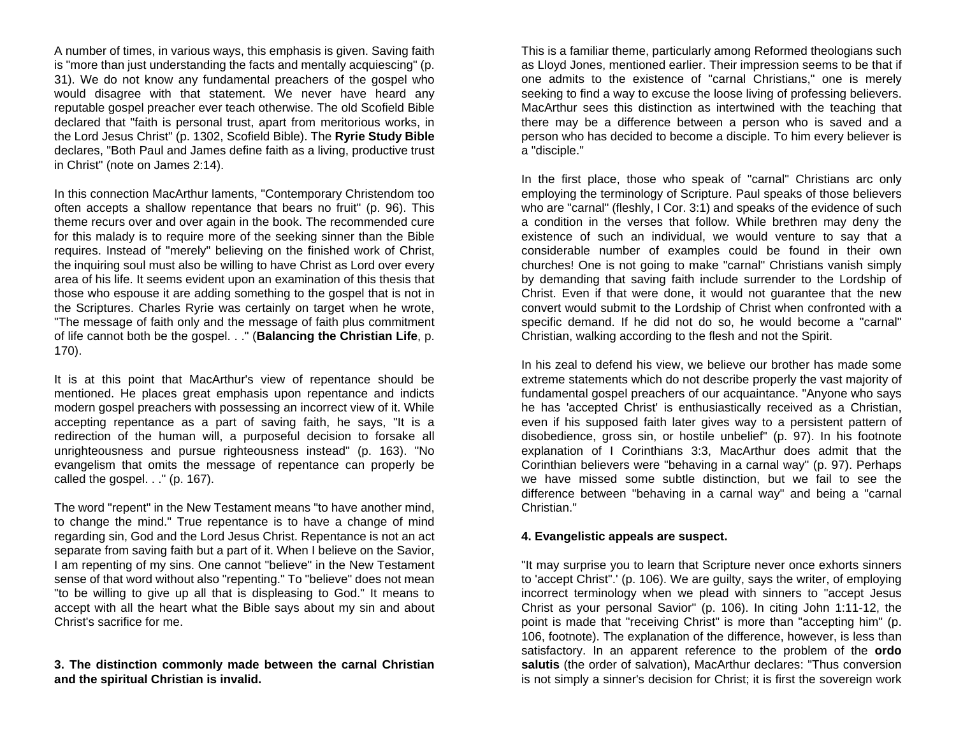A number of times, in various ways, this emphasis is given. Saving faith is "more than just understanding the facts and mentally acquiescing" (p. 31). We do not know any fundamental preachers of the gospel who would disagree with that statement. We never have heard any reputable gospel preacher ever teach otherwise. The old Scofield Bible declared that "faith is personal trust, apart from meritorious works, in the Lord Jesus Christ" (p. 1302, Scofield Bible). The **Ryrie Study Bible** declares, "Both Paul and James define faith as a living, productive trust in Christ" (note on James 2:14).

In this connection MacArthur laments, "Contemporary Christendom too often accepts a shallow repentance that bears no fruit" (p. 96). This theme recurs over and over again in the book. The recommended cure for this malady is to require more of the seeking sinner than the Bible requires. Instead of "merely" believing on the finished work of Christ, the inquiring soul must also be willing to have Christ as Lord over every area of his life. It seems evident upon an examination of this thesis that those who espouse it are adding something to the gospel that is not in the Scriptures. Charles Ryrie was certainly on target when he wrote, "The message of faith only and the message of faith plus commitment of life cannot both be the gospel. . ." (**Balancing the Christian Life**, p. 170).

It is at this point that MacArthur's view of repentance should be mentioned. He places great emphasis upon repentance and indicts modern gospel preachers with possessing an incorrect view of it. While accepting repentance as a part of saving faith, he says, "It is a redirection of the human will, a purposeful decision to forsake all unrighteousness and pursue righteousness instead" (p. 163). "No evangelism that omits the message of repentance can properly be called the gospel. . ." (p. 167).

The word "repent" in the New Testament means "to have another mind, to change the mind." True repentance is to have a change of mind regarding sin, God and the Lord Jesus Christ. Repentance is not an act separate from saving faith but a part of it. When I believe on the Savior, I am repenting of my sins. One cannot "believe" in the New Testament sense of that word without also "repenting." To "believe" does not mean "to be willing to give up all that is displeasing to God." It means to accept with all the heart what the Bible says about my sin and about Christ's sacrifice for me.

#### **3. The distinction commonly made between the carnal Christian and the spiritual Christian is invalid.**

This is a familiar theme, particularly among Reformed theologians such as Lloyd Jones, mentioned earlier. Their impression seems to be that if one admits to the existence of "carnal Christians," one is merely seeking to find a way to excuse the loose living of professing believers. MacArthur sees this distinction as intertwined with the teaching that there may be a difference between a person who is saved and a person who has decided to become a disciple. To him every believer is <sup>a</sup>"disciple."

In the first place, those who speak of "carnal" Christians arc only employing the terminology of Scripture. Paul speaks of those believers who are "carnal" (fleshly, I Cor. 3:1) and speaks of the evidence of such a condition in the verses that follow. While brethren may deny the existence of such an individual, we would venture to say that a considerable number of examples could be found in their own churches! One is not going to make "carnal" Christians vanish simply by demanding that saving faith include surrender to the Lordship of Christ. Even if that were done, it would not guarantee that the new convert would submit to the Lordship of Christ when confronted with a specific demand. If he did not do so, he would become a "carnal" Christian, walking according to the flesh and not the Spirit.

In his zeal to defend his view, we believe our brother has made some extreme statements which do not describe properly the vast majority of fundamental gospel preachers of our acquaintance. "Anyone who says he has 'accepted Christ' is enthusiastically received as a Christian, even if his supposed faith later gives way to a persistent pattern of disobedience, gross sin, or hostile unbelief" (p. 97). In his footnote explanation of I Corinthians 3:3, MacArthur does admit that the Corinthian believers were "behaving in a carnal way" (p. 97). Perhaps we have missed some subtle distinction, but we fail to see the difference between "behaving in a carnal way" and being a "carnal Christian."

#### **4. Evangelistic appeals are suspect.**

"It may surprise you to learn that Scripture never once exhorts sinners to 'accept Christ".' (p. 106). We are guilty, says the writer, of employing incorrect terminology when we plead with sinners to "accept Jesus Christ as your personal Savior" (p. 106). In citing John 1:11-12, the point is made that "receiving Christ" is more than "accepting him" (p. 106, footnote). The explanation of the difference, however, is less than satisfactory. In an apparent reference to the problem of the **ordo salutis** (the order of salvation), MacArthur declares: "Thus conversion is not simply a sinner's decision for Christ; it is first the sovereign work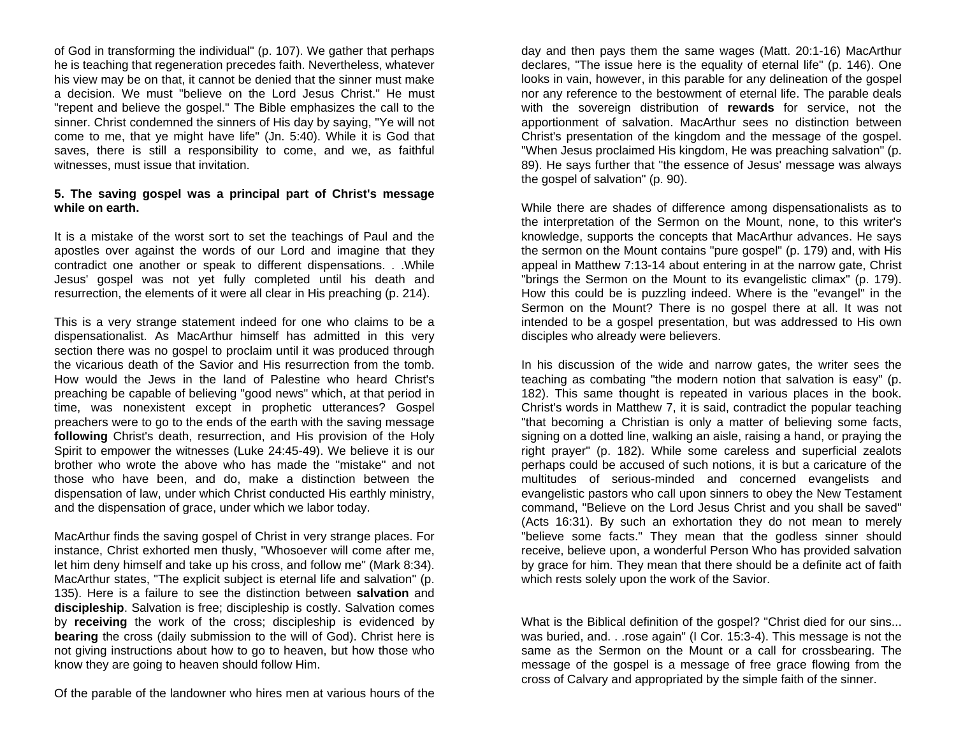of God in transforming the individual" (p. 107). We gather that perhaps he is teaching that regeneration precedes faith. Nevertheless, whatever his view may be on that, it cannot be denied that the sinner must make a decision. We must "believe on the Lord Jesus Christ." He must"repent and believe the gospel." The Bible emphasizes the call to the sinner. Christ condemned the sinners of His day by saying, "Ye will not come to me, that ye might have life" (Jn. 5:40). While it is God that saves, there is still a responsibility to come, and we, as faithful witnesses, must issue that invitation.

## **5. The saving gospel was a principal part of Christ's message while on earth.**

It is a mistake of the worst sort to set the teachings of Paul and the apostles over against the words of our Lord and imagine that they contradict one another or speak to different dispensations. . .While Jesus' gospel was not yet fully completed until his death and resurrection, the elements of it were all clear in His preaching (p. 214).

This is a very strange statement indeed for one who claims to be a dispensationalist. As MacArthur himself has admitted in this very section there was no gospel to proclaim until it was produced through the vicarious death of the Savior and His resurrection from the tomb. How would the Jews in the land of Palestine who heard Christ'spreaching be capable of believing "good news" which, at that period in time, was nonexistent except in prophetic utterances? Gospel preachers were to go to the ends of the earth with the saving message **following** Christ's death, resurrection, and His provision of the Holy Spirit to empower the witnesses (Luke 24:45-49). We believe it is our brother who wrote the above who has made the "mistake" and notthose who have been, and do, make a distinction between the dispensation of law, under which Christ conducted His earthly ministry, and the dispensation of grace, under which we labor today.

MacArthur finds the saving gospel of Christ in very strange places. For instance, Christ exhorted men thusly, "Whosoever will come after me, let him deny himself and take up his cross, and follow me" (Mark 8:34). MacArthur states, "The explicit subject is eternal life and salvation" (p. 135). Here is a failure to see the distinction between **salvation** and **discipleship**. Salvation is free; discipleship is costly. Salvation comes by **receiving** the work of the cross; discipleship is evidenced by **bearing** the cross (daily submission to the will of God). Christ here is not giving instructions about how to go to heaven, but how those who know they are going to heaven should follow Him.

Of the parable of the landowner who hires men at various hours of the

day and then pays them the same wages (Matt. 20:1-16) MacArthur declares, "The issue here is the equality of eternal life" (p. 146). One looks in vain, however, in this parable for any delineation of the gospel nor any reference to the bestowment of eternal life. The parable deals with the sovereign distribution of **rewards** for service, not the apportionment of salvation. MacArthur sees no distinction between Christ's presentation of the kingdom and the message of the gospel. "When Jesus proclaimed His kingdom, He was preaching salvation" (p. 89). He says further that "the essence of Jesus' message was always the gospel of salvation" (p. 90).

While there are shades of difference among dispensationalists as to the interpretation of the Sermon on the Mount, none, to this writer's knowledge, supports the concepts that MacArthur advances. He says the sermon on the Mount contains "pure gospel" (p. 179) and, with His appeal in Matthew 7:13-14 about entering in at the narrow gate, Christ "brings the Sermon on the Mount to its evangelistic climax" (p. 179). How this could be is puzzling indeed. Where is the "evangel" in the Sermon on the Mount? There is no gospel there at all. It was not intended to be a gospel presentation, but was addressed to His own disciples who already were believers.

In his discussion of the wide and narrow gates, the writer sees the teaching as combating "the modern notion that salvation is easy" (p. 182). This same thought is repeated in various places in the book. Christ's words in Matthew 7, it is said, contradict the popular teaching "that becoming a Christian is only a matter of believing some facts, signing on a dotted line, walking an aisle, raising a hand, or praying the right prayer" (p. 182). While some careless and superficial zealots perhaps could be accused of such notions, it is but a caricature of the multitudes of serious-minded and concerned evangelists and evangelistic pastors who call upon sinners to obey the New Testament command, "Believe on the Lord Jesus Christ and you shall be saved" (Acts 16:31). By such an exhortation they do not mean to merely "believe some facts." They mean that the godless sinner should receive, believe upon, a wonderful Person Who has provided salvation by grace for him. They mean that there should be a definite act of faith which rests solely upon the work of the Savior.

What is the Biblical definition of the gospel? "Christ died for our sins... was buried, and. . .rose again" (I Cor. 15:3-4). This message is not the same as the Sermon on the Mount or a call for crossbearing. The message of the gospel is a message of free grace flowing from the cross of Calvary and appropriated by the simple faith of the sinner.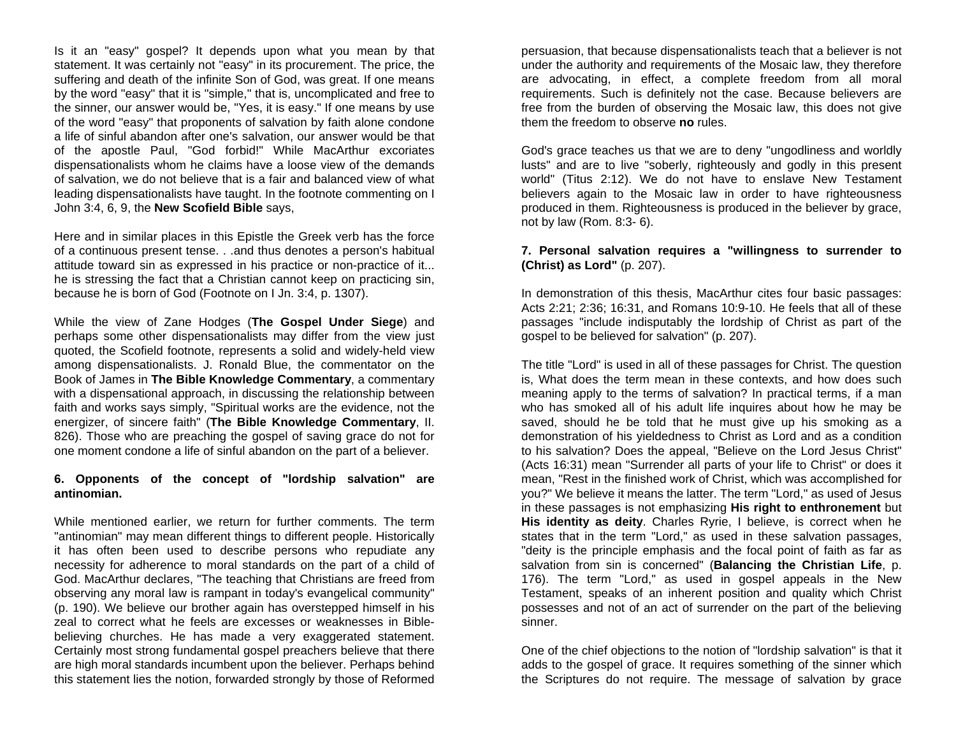Is it an "easy" gospel? It depends upon what you mean by that statement. It was certainly not "easy" in its procurement. The price, the suffering and death of the infinite Son of God, was great. If one means by the word "easy" that it is "simple," that is, uncomplicated and free to the sinner, our answer would be, "Yes, it is easy." If one means by use of the word "easy" that proponents of salvation by faith alone condone a life of sinful abandon after one's salvation, our answer would be that of the apostle Paul, "God forbid!" While MacArthur excoriates dispensationalists whom he claims have a loose view of the demands of salvation, we do not believe that is a fair and balanced view of what leading dispensationalists have taught. In the footnote commenting on I John 3:4, 6, 9, the **New Scofield Bible** says,

Here and in similar places in this Epistle the Greek verb has the force of a continuous present tense. . .and thus denotes a person's habitual attitude toward sin as expressed in his practice or non-practice of it... he is stressing the fact that a Christian cannot keep on practicing sin, because he is born of God (Footnote on I Jn. 3:4, p. 1307).

While the view of Zane Hodges (**The Gospel Under Siege**) and perhaps some other dispensationalists may differ from the view just quoted, the Scofield footnote, represents a solid and widely-held view among dispensationalists. J. Ronald Blue, the commentator on the Book of James in **The Bible Knowledge Commentary**, a commentary with a dispensational approach, in discussing the relationship between faith and works says simply, "Spiritual works are the evidence, not the energizer, of sincere faith" (**The Bible Knowledge Commentary**, II. 826). Those who are preaching the gospel of saving grace do not for one moment condone a life of sinful abandon on the part of a believer.

#### **6. Opponents of the concept of "lordship salvation" are antinomian.**

While mentioned earlier, we return for further comments. The term "antinomian" may mean different things to different people. Historically it has often been used to describe persons who repudiate any necessity for adherence to moral standards on the part of a child of God. MacArthur declares, "The teaching that Christians are freed from observing any moral law is rampant in today's evangelical community" (p. 190). We believe our brother again has overstepped himself in his zeal to correct what he feels are excesses or weaknesses in Biblebelieving churches. He has made a very exaggerated statement. Certainly most strong fundamental gospel preachers believe that there are high moral standards incumbent upon the believer. Perhaps behind this statement lies the notion, forwarded strongly by those of Reformed

persuasion, that because dispensationalists teach that a believer is not under the authority and requirements of the Mosaic law, they therefore are advocating, in effect, a complete freedom from all moral requirements. Such is definitely not the case. Because believers are free from the burden of observing the Mosaic law, this does not give them the freedom to observe **no** rules.

God's grace teaches us that we are to deny "ungodliness and worldly lusts" and are to live "soberly, righteously and godly in this present world" (Titus 2:12). We do not have to enslave New Testament believers again to the Mosaic law in order to have righteousness produced in them. Righteousness is produced in the believer by grace, not by law (Rom. 8:3- 6).

# **7. Personal salvation requires a "willingness to surrender to (Christ) as Lord"** (p. 207).

In demonstration of this thesis, MacArthur cites four basic passages: Acts 2:21; 2:36; 16:31, and Romans 10:9-10. He feels that all of these passages "include indisputably the lordship of Christ as part of the gospel to be believed for salvation" (p. 207).

The title "Lord" is used in all of these passages for Christ. The question is, What does the term mean in these contexts, and how does such meaning apply to the terms of salvation? In practical terms, if a man who has smoked all of his adult life inquires about how he may be saved, should he be told that he must give up his smoking as a demonstration of his yieldedness to Christ as Lord and as a condition to his salvation? Does the appeal, "Believe on the Lord Jesus Christ" (Acts 16:31) mean "Surrender all parts of your life to Christ" or does it mean, "Rest in the finished work of Christ, which was accomplished for you?" We believe it means the latter. The term "Lord," as used of Jesus in these passages is not emphasizing **His right to enthronement** but **His identity as deity**. Charles Ryrie, I believe, is correct when he states that in the term "Lord," as used in these salvation passages, "deity is the principle emphasis and the focal point of faith as far as salvation from sin is concerned" (**Balancing the Christian Life**, p. 176). The term "Lord," as used in gospel appeals in the New Testament, speaks of an inherent position and quality which Christ possesses and not of an act of surrender on the part of the believing sinner.

One of the chief objections to the notion of "lordship salvation" is that it adds to the gospel of grace. It requires something of the sinner which the Scriptures do not require. The message of salvation by grace